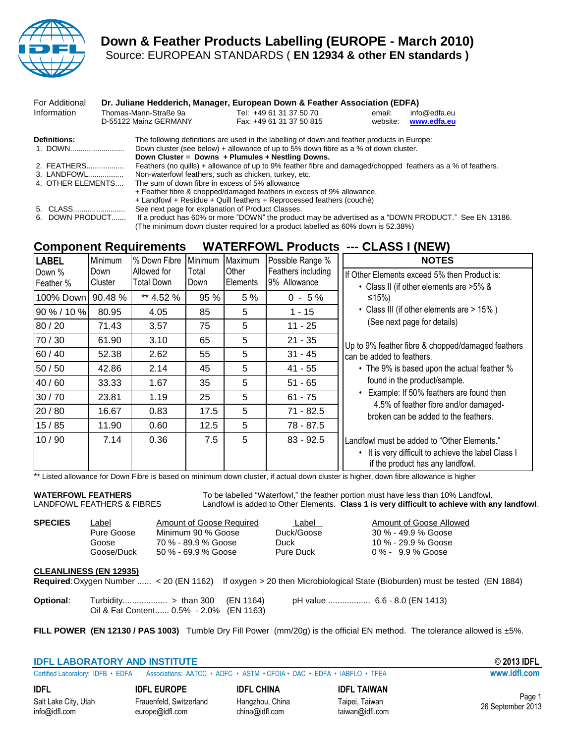

## **Down & Feather Products Labelling (EUROPE - March 2010)** Source: EUROPEAN STANDARDS ( **EN 12934 & other EN standards )**

| For Additional          |  |                                                 | Dr. Juliane Hedderich, Manager, European Down & Feather Association (EDFA)                                                                                                                                                                |                    |                             |  |
|-------------------------|--|-------------------------------------------------|-------------------------------------------------------------------------------------------------------------------------------------------------------------------------------------------------------------------------------------------|--------------------|-----------------------------|--|
| Information             |  | Thomas-Mann-Straße 9a<br>D-55122 Mainz GERMANY  | Tel: +49 61 31 37 50 70<br>Fax: +49 61 31 37 50 815                                                                                                                                                                                       | email:<br>website: | info@edfa.eu<br>www.edfa.eu |  |
| Definitions:<br>1. DOWN |  |                                                 | The following definitions are used in the labelling of down and feather products in Europe:<br>Down cluster (see below) + allowance of up to 5% down fibre as a % of down cluster.<br>Down Cluster = $Downs + Plumules + Nestling Downs.$ |                    |                             |  |
| 2. FEATHERS             |  |                                                 | Feathers (no quills) + allowance of up to 9% feather fibre and damaged/chopped feathers as a % of feathers.                                                                                                                               |                    |                             |  |
| 3. LANDFOWL             |  |                                                 | Non-waterfowl feathers, such as chicken, turkey, etc.                                                                                                                                                                                     |                    |                             |  |
| 4. OTHER ELEMENTS       |  | The sum of down fibre in excess of 5% allowance |                                                                                                                                                                                                                                           |                    |                             |  |
|                         |  |                                                 | + Feather fibre & chopped/damaged feathers in excess of 9% allowance,                                                                                                                                                                     |                    |                             |  |
|                         |  |                                                 | + Landfowl + Residue + Quill feathers + Reprocessed feathers (couché)                                                                                                                                                                     |                    |                             |  |
| 5. CLASS                |  |                                                 | See next page for explanation of Product Classes.                                                                                                                                                                                         |                    |                             |  |
| DOWN PRODUCT<br>6.      |  |                                                 | If a product has 60% or more "DOWN" the product may be advertised as a "DOWN PRODUCT." See EN 13186.                                                                                                                                      |                    |                             |  |

(The minimum down cluster required for a product labelled as 60% down is 52.38%)

## **Component Requirements WATERFOWL Products --- CLASS I (NEW)**

| <b>LABEL</b> | Minimum | % Down Fibre      | Minimum | Maximum  | Possible Range %   | <b>NOTES</b>                                                                            |
|--------------|---------|-------------------|---------|----------|--------------------|-----------------------------------------------------------------------------------------|
| Down %       | Down    | Allowed for       | Total   | Other    | Feathers including | If Other Elements exceed 5% then Product is:                                            |
| Feather %    | Cluster | <b>Total Down</b> | Down    | Elements | 9% Allowance       | • Class II (if other elements are >5% &                                                 |
| 100% Down    | 90.48%  | ** 4.52 %         | 95 %    | 5 %      | $0 - 5\%$          | ≤15%)                                                                                   |
| 90 % / 10 %  | 80.95   | 4.05              | 85      | 5        | 1 - 15             | • Class III (if other elements are > 15%)                                               |
| 80 / 20      | 71.43   | 3.57              | 75      | 5        | $11 - 25$          | (See next page for details)                                                             |
| 70/30        | 61.90   | 3.10              | 65      | 5        | $21 - 35$          | Up to 9% feather fibre & chopped/damaged feathers                                       |
| 60 / 40      | 52.38   | 2.62              | 55      | 5        | $31 - 45$          | can be added to feathers.                                                               |
| 50 / 50      | 42.86   | 2.14              | 45      | 5        | $41 - 55$          | • The 9% is based upon the actual feather %                                             |
| 40 / 60      | 33.33   | 1.67              | 35      | 5        | $51 - 65$          | found in the product/sample.                                                            |
| 30/70        | 23.81   | 1.19              | 25      | 5        | $61 - 75$          | • Example: If 50% feathers are found then                                               |
| 20/80        | 16.67   | 0.83              | 17.5    | 5        | $71 - 82.5$        | 4.5% of feather fibre and/or damaged-<br>broken can be added to the feathers.           |
| 15/85        | 11.90   | 0.60              | 12.5    | 5        | 78 - 87.5          |                                                                                         |
| 10/90        | 7.14    | 0.36              | 7.5     | 5        | $83 - 92.5$        | Landfowl must be added to "Other Elements."                                             |
|              |         |                   |         |          |                    | • It is very difficult to achieve the label Class I<br>if the product has any landfowl. |

\*\* Listed allowance for Down Fibre is based on minimum down cluster, if actual down cluster is higher, down fibre allowance is higher

WATERFOWL FEATHERS To be labelled "Waterfowl," the feather portion must have less than 10% Landfowl. LANDFOWL FEATHERS & FIBRES Landfowl is added to Other Elements. **Class 1 is very difficult to achieve with any landfowl**.

| <b>SPECIES</b> | Label      |
|----------------|------------|
|                | Pure Goose |
|                | Goose      |
|                | Goose/Duck |
|                |            |

Minimum 90 % Goose Duck/Goose 30 % - 49.9 % Goose Goose 70 % - 89.9 % Goose Duck 10 % - 29.9 % Goose 50 % - 69.9 % Goose Pure Duck 0 % - 9.9 % Goose

Amount of Goose Required Label Amount of Goose Allowed

### **CLEANLINESS (EN 12935)**

**Required**:Oxygen Number ...... < 20 (EN 1162) If oxygen > 20 then Microbiological State (Bioburden) must be tested (EN 1884) **Optional**: Turbidity................... > than 300 (EN 1164) pH value .................. 6.6 - 8.0 (EN 1413) Oil & Fat Content...... 0.5% - 2.0% (EN 1163)

**FILL POWER (EN 12130 / PAS 1003)** Tumble Dry Fill Power (mm/20g) is the official EN method. The tolerance allowed is ±5%.

| <b>IDFL LABORATORY AND INSTITUTE</b> | © 2013 IDFL                                                                                              |              |
|--------------------------------------|----------------------------------------------------------------------------------------------------------|--------------|
|                                      | Certified Laboratory: IDFB • EDFA Associations: AATCC • ADFC • ASTM • CFDIA • DAC • EDFA • IABFLO • TFEA | www.idfl.com |
|                                      |                                                                                                          |              |

**IDFL IDFL EUROPE IDFL CHINA IDFL TAIWAN** Salt Lake City, Utah Frauenfeld, Switzerland Hangzhou, China Taipei, Taiwan<br>
info@idfl.com europe@idfl.com china@idfl.com taiwan@idfl.cor europe@idfl.com china@idfl.com china@idfl.com taiwan@idfl.com